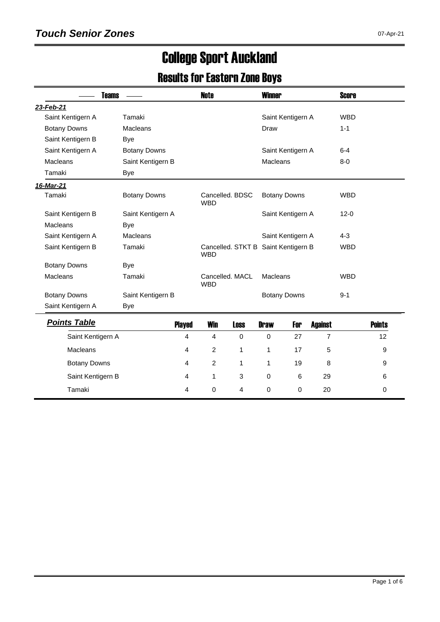# College Sport Auckland

#### Results for Eastern Zone Boys

| <b>Teams</b>        |                     | <b>Note</b>                                       |             | <b>Winner</b> |                     |                | <b>Score</b> |               |
|---------------------|---------------------|---------------------------------------------------|-------------|---------------|---------------------|----------------|--------------|---------------|
| 23-Feb-21           |                     |                                                   |             |               |                     |                |              |               |
| Saint Kentigern A   | Tamaki              |                                                   |             |               | Saint Kentigern A   |                | <b>WBD</b>   |               |
| <b>Botany Downs</b> | Macleans            |                                                   |             | Draw          |                     |                | $1 - 1$      |               |
| Saint Kentigern B   | Bye                 |                                                   |             |               |                     |                |              |               |
| Saint Kentigern A   | <b>Botany Downs</b> |                                                   |             |               | Saint Kentigern A   |                | $6 - 4$      |               |
| Macleans            | Saint Kentigern B   |                                                   |             | Macleans      |                     |                | $8-0$        |               |
| Tamaki              | <b>Bye</b>          |                                                   |             |               |                     |                |              |               |
| 16-Mar-21           |                     |                                                   |             |               |                     |                |              |               |
| Tamaki              | <b>Botany Downs</b> | Cancelled, BDSC<br><b>WBD</b>                     |             |               | <b>Botany Downs</b> |                | <b>WBD</b>   |               |
| Saint Kentigern B   | Saint Kentigern A   |                                                   |             |               | Saint Kentigern A   |                | $12 - 0$     |               |
| Macleans            | Bye                 |                                                   |             |               |                     |                |              |               |
| Saint Kentigern A   | Macleans            |                                                   |             |               | Saint Kentigern A   |                | $4 - 3$      |               |
| Saint Kentigern B   | Tamaki              | Cancelled. STKT B Saint Kentigern B<br><b>WBD</b> |             |               |                     |                | <b>WBD</b>   |               |
| <b>Botany Downs</b> | <b>Bye</b>          |                                                   |             |               |                     |                |              |               |
| Macleans            | Tamaki              | Cancelled, MACL<br><b>WBD</b>                     |             | Macleans      |                     |                | <b>WBD</b>   |               |
| <b>Botany Downs</b> | Saint Kentigern B   |                                                   |             |               | <b>Botany Downs</b> |                | $9 - 1$      |               |
| Saint Kentigern A   | <b>Bye</b>          |                                                   |             |               |                     |                |              |               |
| <b>Points Table</b> | <b>Played</b>       | <b>Win</b>                                        | <b>Loss</b> | <b>Draw</b>   | For                 | <b>Against</b> |              | <b>Points</b> |
| Saint Kentigern A   | 4                   | 4                                                 | $\Omega$    | 0             | 27                  | 7              |              | 12            |
| Macleans            | 4                   | 2                                                 | 1           | 1             | 17                  | 5              |              | 9             |
| <b>Botany Downs</b> | 4                   | 2                                                 | 1           | 1             | 19                  | 8              |              | 9             |

Saint Kentigern B 4 1 3 0 6 29 6 Tamaki 4 0 4 0 0 20 0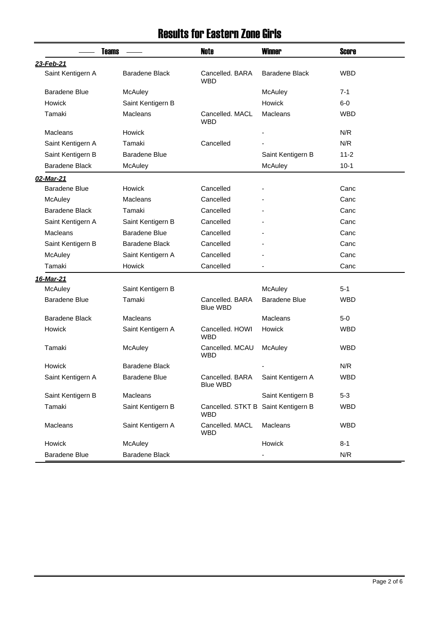### Results for Eastern Zone Girls

|                       | <b>Teams</b>          | Note                                              | <b>Winner</b>            | Score      |
|-----------------------|-----------------------|---------------------------------------------------|--------------------------|------------|
| 23-Feb-21             |                       |                                                   |                          |            |
| Saint Kentigern A     | <b>Baradene Black</b> | Cancelled, BARA<br><b>WBD</b>                     | <b>Baradene Black</b>    | WBD        |
| <b>Baradene Blue</b>  | McAuley               |                                                   | McAuley                  | $7 - 1$    |
| <b>Howick</b>         | Saint Kentigern B     |                                                   | Howick                   | $6-0$      |
| Tamaki                | <b>Macleans</b>       | Cancelled, MACL<br><b>WBD</b>                     | <b>Macleans</b>          | <b>WBD</b> |
| <b>Macleans</b>       | Howick                |                                                   |                          | N/R        |
| Saint Kentigern A     | Tamaki                | Cancelled                                         |                          | N/R        |
| Saint Kentigern B     | Baradene Blue         |                                                   | Saint Kentigern B        | $11 - 2$   |
| Baradene Black        | McAuley               |                                                   | McAuley                  | $10-1$     |
| 02-Mar-21             |                       |                                                   |                          |            |
| <b>Baradene Blue</b>  | Howick                | Cancelled                                         |                          | Canc       |
| McAuley               | <b>Macleans</b>       | Cancelled                                         |                          | Canc       |
| <b>Baradene Black</b> | Tamaki                | Cancelled                                         |                          | Canc       |
| Saint Kentigern A     | Saint Kentigern B     | Cancelled                                         |                          | Canc       |
| <b>Macleans</b>       | <b>Baradene Blue</b>  | Cancelled                                         |                          | Canc       |
| Saint Kentigern B     | <b>Baradene Black</b> | Cancelled                                         |                          | Canc       |
| McAuley               | Saint Kentigern A     | Cancelled                                         |                          | Canc       |
| Tamaki                | Howick                | Cancelled                                         | $\overline{\phantom{a}}$ | Canc       |
| <u>16-Mar-21</u>      |                       |                                                   |                          |            |
| McAuley               | Saint Kentigern B     |                                                   | McAuley                  | $5-1$      |
| <b>Baradene Blue</b>  | Tamaki                | Cancelled, BARA<br><b>Blue WBD</b>                | <b>Baradene Blue</b>     | <b>WBD</b> |
| Baradene Black        | <b>Macleans</b>       |                                                   | Macleans                 | 5-0        |
| <b>Howick</b>         | Saint Kentigern A     | Cancelled, HOWI<br><b>WBD</b>                     | Howick                   | <b>WBD</b> |
| Tamaki                | McAuley               | Cancelled. MCAU<br><b>WBD</b>                     | McAuley                  | <b>WBD</b> |
| Howick                | Baradene Black        |                                                   |                          | N/R        |
| Saint Kentigern A     | <b>Baradene Blue</b>  | Cancelled. BARA<br><b>Blue WBD</b>                | Saint Kentigern A        | <b>WBD</b> |
| Saint Kentigern B     | Macleans              |                                                   | Saint Kentigern B        | $5 - 3$    |
| Tamaki                | Saint Kentigern B     | Cancelled. STKT B Saint Kentigern B<br><b>WBD</b> |                          | <b>WBD</b> |
| Macleans              | Saint Kentigern A     | Cancelled. MACL<br><b>WBD</b>                     | Macleans                 | <b>WBD</b> |
| Howick                | McAuley               |                                                   | Howick                   | $8 - 1$    |
| <b>Baradene Blue</b>  | Baradene Black        |                                                   | -                        | N/R        |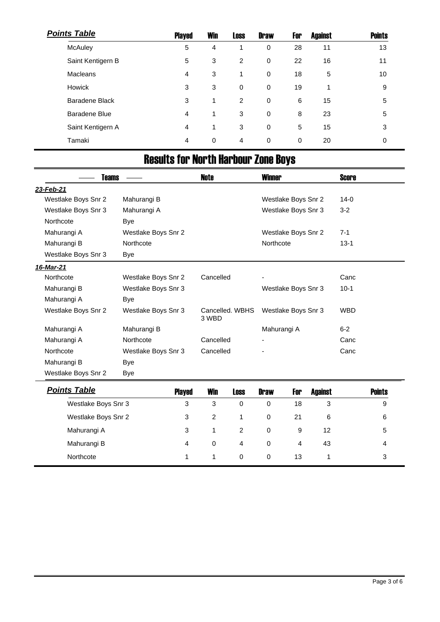| <b>Points Table</b> | <b>Played</b> | <b>Win</b> | <b>Loss</b>    | <b>Draw</b> | For | <b>Against</b> | <b>Points</b> |
|---------------------|---------------|------------|----------------|-------------|-----|----------------|---------------|
| McAuley             | 5             | 4          | 1              | 0           | 28  | 11             | 13            |
| Saint Kentigern B   | 5             | 3          | 2              | 0           | 22  | 16             | 11            |
| <b>Macleans</b>     | 4             | 3          | 1              | $\mathbf 0$ | 18  | 5              | 10            |
| Howick              | 3             | 3          | $\mathbf 0$    | 0           | 19  | 1              | 9             |
| Baradene Black      | 3             | 1          | 2              | 0           | 6   | 15             | 5             |
| Baradene Blue       | 4             | 1          | 3              | 0           | 8   | 23             | 5             |
| Saint Kentigern A   | 4             | 1          | 3              | 0           | 5   | 15             | 3             |
| Tamaki              | 4             | 0          | $\overline{4}$ | 0           | 0   | 20             | $\mathbf 0$   |

# Results for North Harbour Zone Boys

| <b>Teams</b>        |                     | Note                     |             | <b>Winner</b> |                     |                | Score      |               |
|---------------------|---------------------|--------------------------|-------------|---------------|---------------------|----------------|------------|---------------|
| 23-Feb-21           |                     |                          |             |               |                     |                |            |               |
| Westlake Boys Snr 2 | Mahurangi B         |                          |             |               | Westlake Boys Snr 2 |                | $14-0$     |               |
| Westlake Boys Snr 3 | Mahurangi A         |                          |             |               | Westlake Boys Snr 3 |                | $3 - 2$    |               |
| Northcote           | Bye                 |                          |             |               |                     |                |            |               |
| Mahurangi A         | Westlake Boys Snr 2 |                          |             |               | Westlake Boys Snr 2 |                | $7 - 1$    |               |
| Mahurangi B         | Northcote           |                          |             | Northcote     |                     |                | $13 - 1$   |               |
| Westlake Boys Snr 3 | Bye                 |                          |             |               |                     |                |            |               |
| 16-Mar-21           |                     |                          |             |               |                     |                |            |               |
| Northcote           | Westlake Boys Snr 2 | Cancelled                |             |               |                     |                | Canc       |               |
| Mahurangi B         | Westlake Boys Snr 3 |                          |             |               | Westlake Boys Snr 3 |                | $10-1$     |               |
| Mahurangi A         | Bye                 |                          |             |               |                     |                |            |               |
| Westlake Boys Snr 2 | Westlake Boys Snr 3 | Cancelled, WBHS<br>3 WBD |             |               | Westlake Boys Snr 3 |                | <b>WBD</b> |               |
| Mahurangi A         | Mahurangi B         |                          |             | Mahurangi A   |                     |                | $6 - 2$    |               |
| Mahurangi A         | Northcote           | Cancelled                |             |               |                     |                | Canc       |               |
| Northcote           | Westlake Boys Snr 3 | Cancelled                |             |               |                     |                | Canc       |               |
| Mahurangi B         | Bye                 |                          |             |               |                     |                |            |               |
| Westlake Boys Snr 2 | <b>Bye</b>          |                          |             |               |                     |                |            |               |
| <b>Points Table</b> | Played              | <b>Win</b>               | <b>Loss</b> | <b>Draw</b>   | For                 | <b>Against</b> |            | <b>Points</b> |
| Westlake Boys Snr 3 | 3                   | 3                        | 0           | $\mathbf 0$   | 18                  | 3              |            | 9             |
| Westlake Boys Snr 2 | 3                   | 2                        | 1           | 0             | 21                  | 6              |            | 6             |

Mahurangi A 3 1 2 0 9 12 5 Mahurangi B 4 0 4 0 4 43 4 43 Northcote 1 1 1 0 0 13 1 3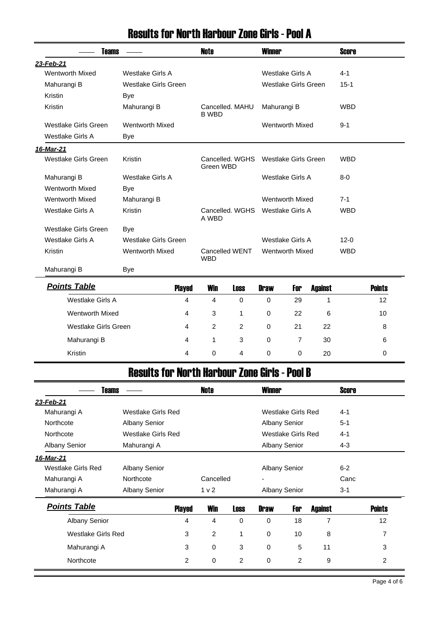#### Results for North Harbour Zone Girls - Pool A

| <b>Teams</b>            |                         |                | <b>Note</b>    |                 | <b>Winner</b> |                         |                | <b>Score</b> |               |
|-------------------------|-------------------------|----------------|----------------|-----------------|---------------|-------------------------|----------------|--------------|---------------|
| 23-Feb-21               |                         |                |                |                 |               |                         |                |              |               |
| <b>Wentworth Mixed</b>  | Westlake Girls A        |                |                |                 |               | <b>Westlake Girls A</b> |                | $4 - 1$      |               |
| Mahurangi B             | Westlake Girls Green    |                |                |                 |               | Westlake Girls Green    |                | $15 - 1$     |               |
| Kristin                 | <b>Bye</b>              |                |                |                 |               |                         |                |              |               |
| Kristin                 | Mahurangi B             |                | <b>B WBD</b>   | Cancelled. MAHU | Mahurangi B   |                         |                | <b>WBD</b>   |               |
| Westlake Girls Green    | <b>Wentworth Mixed</b>  |                |                |                 |               | <b>Wentworth Mixed</b>  |                | $9 - 1$      |               |
| <b>Westlake Girls A</b> | Bye                     |                |                |                 |               |                         |                |              |               |
| <u>16-Mar-21</u>        |                         |                |                |                 |               |                         |                |              |               |
| Westlake Girls Green    | Kristin                 |                | Green WBD      | Cancelled, WGHS |               | Westlake Girls Green    |                | <b>WBD</b>   |               |
| Mahurangi B             | <b>Westlake Girls A</b> |                |                |                 |               | Westlake Girls A        |                | $8 - 0$      |               |
| <b>Wentworth Mixed</b>  | Bye                     |                |                |                 |               |                         |                |              |               |
| <b>Wentworth Mixed</b>  | Mahurangi B             |                |                |                 |               | <b>Wentworth Mixed</b>  |                | $7 - 1$      |               |
| Westlake Girls A        | Kristin                 |                | A WBD          | Cancelled, WGHS |               | Westlake Girls A        |                | <b>WBD</b>   |               |
| Westlake Girls Green    | Bye                     |                |                |                 |               |                         |                |              |               |
| <b>Westlake Girls A</b> | Westlake Girls Green    |                |                |                 |               | Westlake Girls A        |                | $12 - 0$     |               |
| Kristin                 | <b>Wentworth Mixed</b>  |                | <b>WBD</b>     | Cancelled WENT  |               | <b>Wentworth Mixed</b>  |                | <b>WBD</b>   |               |
| Mahurangi B             | Bye                     |                |                |                 |               |                         |                |              |               |
| <b>Points Table</b>     |                         | <b>Played</b>  | <b>Win</b>     | <b>Loss</b>     | <b>Draw</b>   | For                     | <b>Against</b> |              | <b>Points</b> |
| <b>Westlake Girls A</b> |                         | $\overline{4}$ | 4              | $\Omega$        | 0             | 29                      | $\mathbf{1}$   |              | 12            |
| <b>Wentworth Mixed</b>  |                         | 4              | 3              | 1               | $\mathbf 0$   | 22                      | 6              |              | 10            |
| Westlake Girls Green    |                         | 4              | $\overline{2}$ | $\overline{2}$  | $\mathbf 0$   | 21                      | 22             |              | 8             |
| Mahurangi B             |                         | 4              | 1              | 3               | 0             | $\overline{7}$          | 30             |              | 6             |

#### Results for North Harbour Zone Girls - Pool B

Kristin 4 0 4 0 0 20 0

| Teams                     |                      |                      | Note           |          | <b>Winner</b>        |                      |                | <b>Score</b> |               |
|---------------------------|----------------------|----------------------|----------------|----------|----------------------|----------------------|----------------|--------------|---------------|
| 23-Feb-21                 |                      |                      |                |          |                      |                      |                |              |               |
| Mahurangi A               | Westlake Girls Red   |                      |                |          |                      | Westlake Girls Red   |                | $4 - 1$      |               |
| Northcote                 | <b>Albany Senior</b> |                      |                |          |                      | <b>Albany Senior</b> |                | $5 - 1$      |               |
| Northcote                 | Westlake Girls Red   |                      |                |          |                      | Westlake Girls Red   |                | $4 - 1$      |               |
| <b>Albany Senior</b>      | Mahurangi A          | <b>Albany Senior</b> |                |          | $4 - 3$              |                      |                |              |               |
| 16-Mar-21                 |                      |                      |                |          |                      |                      |                |              |               |
| Westlake Girls Red        | <b>Albany Senior</b> |                      |                |          | <b>Albany Senior</b> |                      |                | $6 - 2$      |               |
| Mahurangi A               | Northcote            | Cancelled            |                |          | ۰                    |                      |                | Canc         |               |
| Mahurangi A               | <b>Albany Senior</b> |                      | 1 <sub>v</sub> |          | <b>Albany Senior</b> |                      |                | $3 - 1$      |               |
| <b>Points Table</b>       |                      | <b>Played</b>        | <b>Win</b>     | Loss     | <b>Draw</b>          | For                  | <b>Against</b> |              | <b>Points</b> |
| <b>Albany Senior</b>      |                      | 4                    | 4              | $\Omega$ | $\Omega$             | 18                   | 7              |              | 12            |
| <b>Westlake Girls Red</b> |                      | 3                    | $\overline{2}$ | 1        | $\mathbf 0$          | 10                   | 8              |              | 7             |
| Mahurangi A               |                      | 3                    | $\Omega$       | 3        | $\Omega$             | 5                    | 11             |              | 3             |
| Northcote                 |                      | 2                    | $\mathbf 0$    | 2        | $\mathbf 0$          | 2                    | 9              |              | 2             |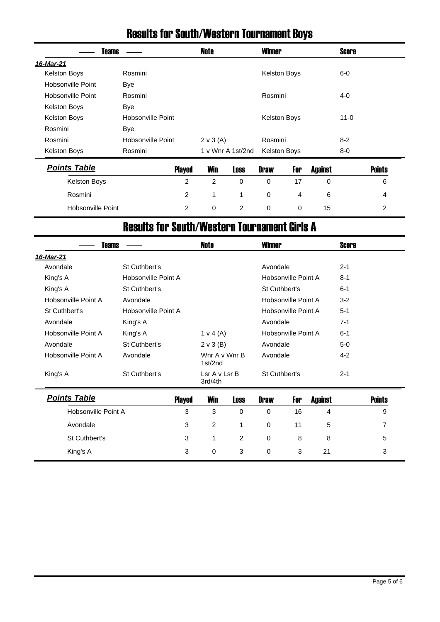### Results for South/Western Tournament Boys

| <b>Teams</b>             |                   |                | Note           |                   | <b>Winner</b>       |             |                | <b>Score</b> |               |
|--------------------------|-------------------|----------------|----------------|-------------------|---------------------|-------------|----------------|--------------|---------------|
| 16-Mar-21                |                   |                |                |                   |                     |             |                |              |               |
| Kelston Boys             | Rosmini           |                |                |                   | Kelston Boys        |             |                | $6-0$        |               |
| Hobsonville Point        | <b>Bye</b>        |                |                |                   |                     |             |                |              |               |
| Hobsonville Point        | Rosmini           |                |                |                   | Rosmini             |             |                | $4 - 0$      |               |
| <b>Kelston Boys</b>      | <b>Bye</b>        |                |                |                   |                     |             |                |              |               |
| Kelston Boys             | Hobsonville Point |                |                |                   | Kelston Boys        |             |                | $11 - 0$     |               |
| Rosmini                  | Bye               |                |                |                   |                     |             |                |              |               |
| Rosmini                  | Hobsonville Point |                | 2 v 3(A)       |                   | Rosmini             |             |                | $8 - 2$      |               |
| <b>Kelston Boys</b>      | Rosmini           |                |                | 1 v Wnr A 1st/2nd | <b>Kelston Boys</b> |             |                | $8-0$        |               |
| <b>Points Table</b>      |                   | <b>Played</b>  | <b>Win</b>     | <b>Loss</b>       | <b>Draw</b>         | For         | <b>Against</b> |              | <b>Points</b> |
| <b>Kelston Boys</b>      |                   | $\overline{c}$ | $\overline{c}$ | 0                 | $\mathbf 0$         | 17          | 0              |              | 6             |
| Rosmini                  |                   | 2              | 1              | 1                 | $\mathbf 0$         | 4           | 6              |              | 4             |
| <b>Hobsonville Point</b> |                   | $\overline{2}$ | 0              | 2                 | $\mathbf 0$         | $\mathbf 0$ | 15             |              | 2             |

### Results for South/Western Tournament Girls A

| Teams               |                          | <b>Note</b><br><b>Winner</b> |         |  | <b>Score</b> |
|---------------------|--------------------------|------------------------------|---------|--|--------------|
|                     |                          |                              |         |  |              |
| St Cuthbert's       |                          | Avondale                     | $2 - 1$ |  |              |
| Hobsonville Point A |                          | Hobsonville Point A          | $8 - 1$ |  |              |
| St Cuthbert's       |                          | St Cuthbert's                | $6 - 1$ |  |              |
| Avondale            |                          | Hobsonville Point A          | $3-2$   |  |              |
| Hobsonville Point A |                          | Hobsonville Point A          | $5 - 1$ |  |              |
| King's A            |                          | Avondale                     | $7 - 1$ |  |              |
| King's A            | $1 \vee 4 (A)$           | Hobsonville Point A          | $6 - 1$ |  |              |
| St Cuthbert's       | $2 \vee 3$ (B)           | Avondale                     | $5-0$   |  |              |
| Avondale            | Wnr A v Wnr B<br>1st/2nd | Avondale                     | $4 - 2$ |  |              |
| St Cuthbert's       | Lsr A v Lsr B<br>3rd/4th | St Cuthbert's                | $2 - 1$ |  |              |
|                     |                          |                              |         |  |              |

| <b>Points Table</b> | <b>Played</b> | <b>Win</b> | <b>Loss</b>    | <b>Draw</b> | For | Against | <b>Points</b> |
|---------------------|---------------|------------|----------------|-------------|-----|---------|---------------|
| Hobsonville Point A | 3             | 3          | 0              | $\Omega$    | 16  | 4       | 9             |
| Avondale            | 3             | 2          | $\overline{1}$ | $\Omega$    | 11  | -5      |               |
| St Cuthbert's       | 3             |            | 2              | $\Omega$    | 8   | 8       | 5             |
| King's A            | 3             | 0          | 3              | $\Omega$    | 3   | 21      | 3             |